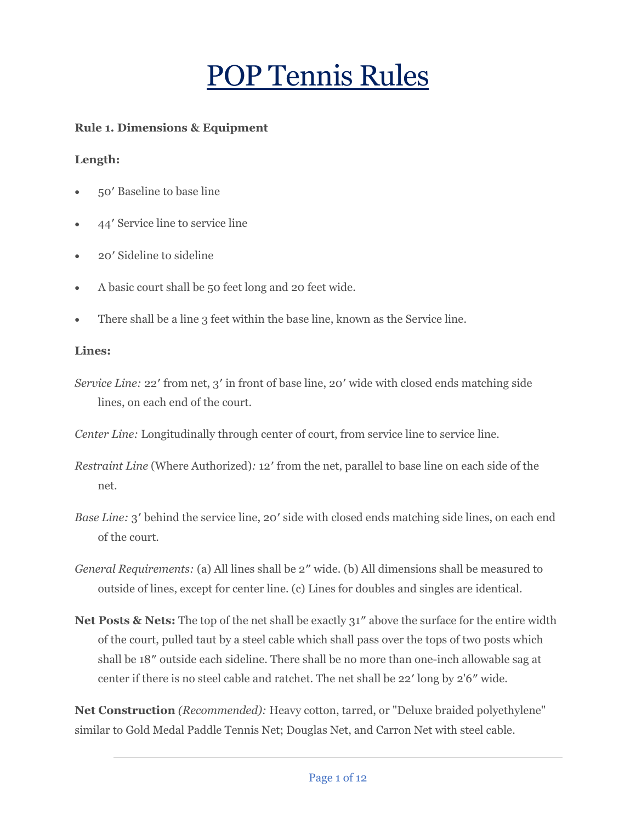# POP Tennis Rules

# **Rule 1. Dimensions & Equipment**

## **Length:**

- 50′ Baseline to base line
- 44′ Service line to service line
- 20′ Sideline to sideline
- A basic court shall be 50 feet long and 20 feet wide.
- There shall be a line 3 feet within the base line, known as the Service line.

## **Lines:**

*Service Line:* 22' from net, 3' in front of base line, 20' wide with closed ends matching side lines, on each end of the court.

*Center Line:* Longitudinally through center of court, from service line to service line.

- *Restraint Line* (Where Authorized)*:* 12′ from the net, parallel to base line on each side of the net.
- *Base Line:* 3' behind the service line, 20' side with closed ends matching side lines, on each end of the court.
- *General Requirements:* (a) All lines shall be 2″ wide. (b) All dimensions shall be measured to outside of lines, except for center line. (c) Lines for doubles and singles are identical.
- **Net Posts & Nets:** The top of the net shall be exactly 31″ above the surface for the entire width of the court, pulled taut by a steel cable which shall pass over the tops of two posts which shall be 18″ outside each sideline. There shall be no more than one-inch allowable sag at center if there is no steel cable and ratchet. The net shall be 22′ long by 2'6″ wide.

**Net Construction** *(Recommended):* Heavy cotton, tarred, or "Deluxe braided polyethylene" similar to Gold Medal Paddle Tennis Net; Douglas Net, and Carron Net with steel cable.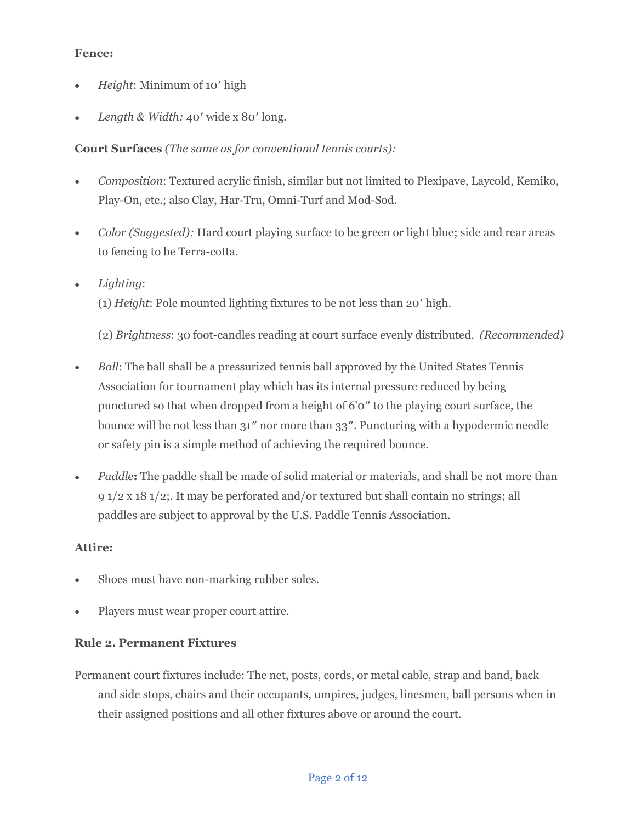# **Fence:**

- *Height*: Minimum of 10′ high
- *Length & Width:* 40′ wide x 80′ long.

# **Court Surfaces** *(The same as for conventional tennis courts):*

- *Composition*: Textured acrylic finish, similar but not limited to Plexipave, Laycold, Kemiko, Play-On, etc.; also Clay, Har-Tru, Omni-Turf and Mod-Sod.
- *Color (Suggested):* Hard court playing surface to be green or light blue; side and rear areas to fencing to be Terra-cotta.
- *Lighting*:
	- (1) *Height*: Pole mounted lighting fixtures to be not less than 20′ high.

(2) *Brightness*: 30 foot-candles reading at court surface evenly distributed. *(Recommended)*

- *Ball*: The ball shall be a pressurized tennis ball approved by the United States Tennis Association for tournament play which has its internal pressure reduced by being punctured so that when dropped from a height of 6'0″ to the playing court surface, the bounce will be not less than 31″ nor more than 33″. Puncturing with a hypodermic needle or safety pin is a simple method of achieving the required bounce.
- *Paddle***:** The paddle shall be made of solid material or materials, and shall be not more than 9 1/2 x 18 1/2;. It may be perforated and/or textured but shall contain no strings; all paddles are subject to approval by the U.S. Paddle Tennis Association.

# **Attire:**

- Shoes must have non-marking rubber soles.
- Players must wear proper court attire.

# **Rule 2. Permanent Fixtures**

Permanent court fixtures include: The net, posts, cords, or metal cable, strap and band, back and side stops, chairs and their occupants, umpires, judges, linesmen, ball persons when in their assigned positions and all other fixtures above or around the court.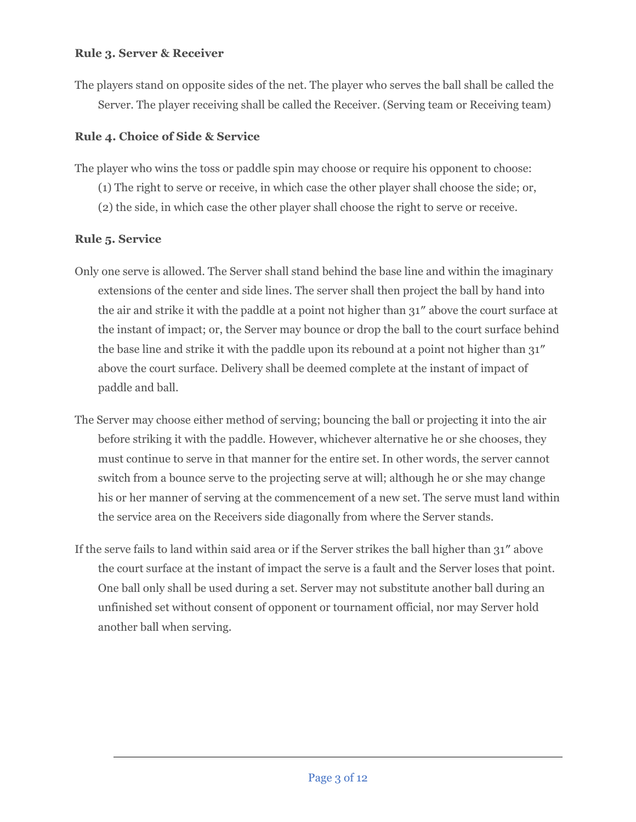#### **Rule 3. Server & Receiver**

The players stand on opposite sides of the net. The player who serves the ball shall be called the Server. The player receiving shall be called the Receiver. (Serving team or Receiving team)

# **Rule 4. Choice of Side & Service**

The player who wins the toss or paddle spin may choose or require his opponent to choose:

- (1) The right to serve or receive, in which case the other player shall choose the side; or,
- (2) the side, in which case the other player shall choose the right to serve or receive.

# **Rule 5. Service**

- Only one serve is allowed. The Server shall stand behind the base line and within the imaginary extensions of the center and side lines. The server shall then project the ball by hand into the air and strike it with the paddle at a point not higher than 31″ above the court surface at the instant of impact; or, the Server may bounce or drop the ball to the court surface behind the base line and strike it with the paddle upon its rebound at a point not higher than 31″ above the court surface. Delivery shall be deemed complete at the instant of impact of paddle and ball.
- The Server may choose either method of serving; bouncing the ball or projecting it into the air before striking it with the paddle. However, whichever alternative he or she chooses, they must continue to serve in that manner for the entire set. In other words, the server cannot switch from a bounce serve to the projecting serve at will; although he or she may change his or her manner of serving at the commencement of a new set. The serve must land within the service area on the Receivers side diagonally from where the Server stands.
- If the serve fails to land within said area or if the Server strikes the ball higher than 31″ above the court surface at the instant of impact the serve is a fault and the Server loses that point. One ball only shall be used during a set. Server may not substitute another ball during an unfinished set without consent of opponent or tournament official, nor may Server hold another ball when serving.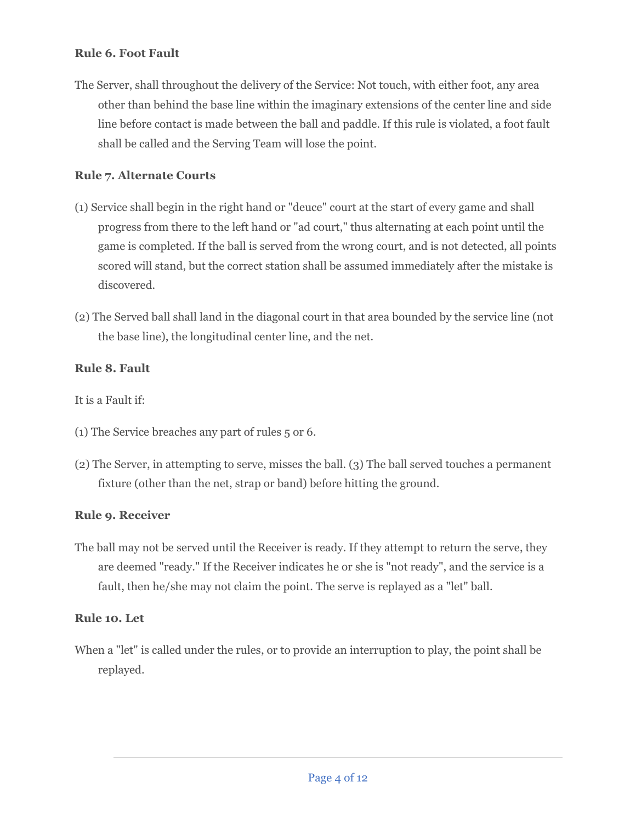# **Rule 6. Foot Fault**

The Server, shall throughout the delivery of the Service: Not touch, with either foot, any area other than behind the base line within the imaginary extensions of the center line and side line before contact is made between the ball and paddle. If this rule is violated, a foot fault shall be called and the Serving Team will lose the point.

# **Rule 7. Alternate Courts**

- (1) Service shall begin in the right hand or "deuce" court at the start of every game and shall progress from there to the left hand or "ad court," thus alternating at each point until the game is completed. If the ball is served from the wrong court, and is not detected, all points scored will stand, but the correct station shall be assumed immediately after the mistake is discovered.
- (2) The Served ball shall land in the diagonal court in that area bounded by the service line (not the base line), the longitudinal center line, and the net.

# **Rule 8. Fault**

It is a Fault if:

- (1) The Service breaches any part of rules 5 or 6.
- (2) The Server, in attempting to serve, misses the ball. (3) The ball served touches a permanent fixture (other than the net, strap or band) before hitting the ground.

# **Rule 9. Receiver**

The ball may not be served until the Receiver is ready. If they attempt to return the serve, they are deemed "ready." If the Receiver indicates he or she is "not ready", and the service is a fault, then he/she may not claim the point. The serve is replayed as a "let" ball.

# **Rule 10. Let**

When a "let" is called under the rules, or to provide an interruption to play, the point shall be replayed.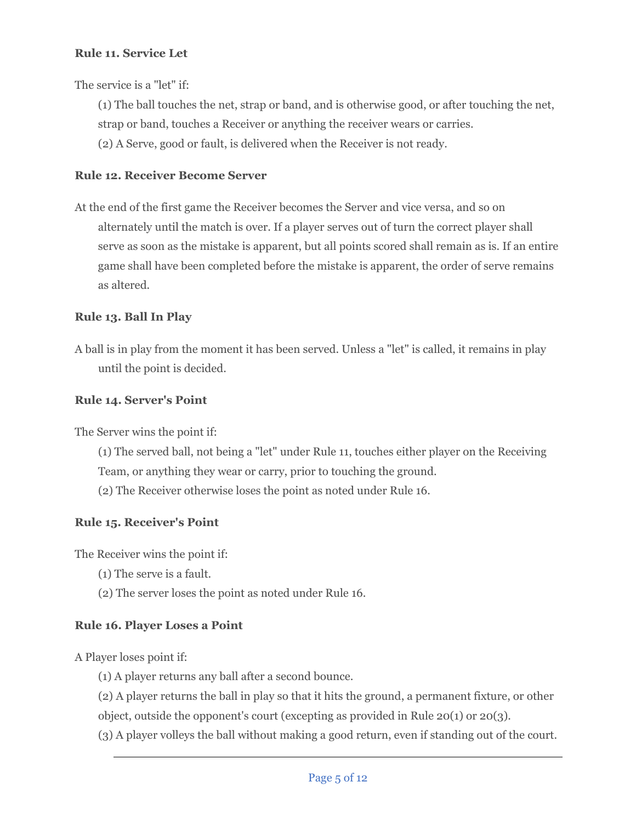# **Rule 11. Service Let**

The service is a "let" if:

(1) The ball touches the net, strap or band, and is otherwise good, or after touching the net, strap or band, touches a Receiver or anything the receiver wears or carries.

(2) A Serve, good or fault, is delivered when the Receiver is not ready.

#### **Rule 12. Receiver Become Server**

At the end of the first game the Receiver becomes the Server and vice versa, and so on alternately until the match is over. If a player serves out of turn the correct player shall serve as soon as the mistake is apparent, but all points scored shall remain as is. If an entire game shall have been completed before the mistake is apparent, the order of serve remains as altered.

## **Rule 13. Ball In Play**

A ball is in play from the moment it has been served. Unless a "let" is called, it remains in play until the point is decided.

#### **Rule 14. Server's Point**

The Server wins the point if:

- (1) The served ball, not being a "let" under Rule 11, touches either player on the Receiving Team, or anything they wear or carry, prior to touching the ground.
- (2) The Receiver otherwise loses the point as noted under Rule 16.

#### **Rule 15. Receiver's Point**

The Receiver wins the point if:

- (1) The serve is a fault.
- (2) The server loses the point as noted under Rule 16.

#### **Rule 16. Player Loses a Point**

A Player loses point if:

- (1) A player returns any ball after a second bounce.
- (2) A player returns the ball in play so that it hits the ground, a permanent fixture, or other object, outside the opponent's court (excepting as provided in Rule 20(1) or 20(3).

(3) A player volleys the ball without making a good return, even if standing out of the court.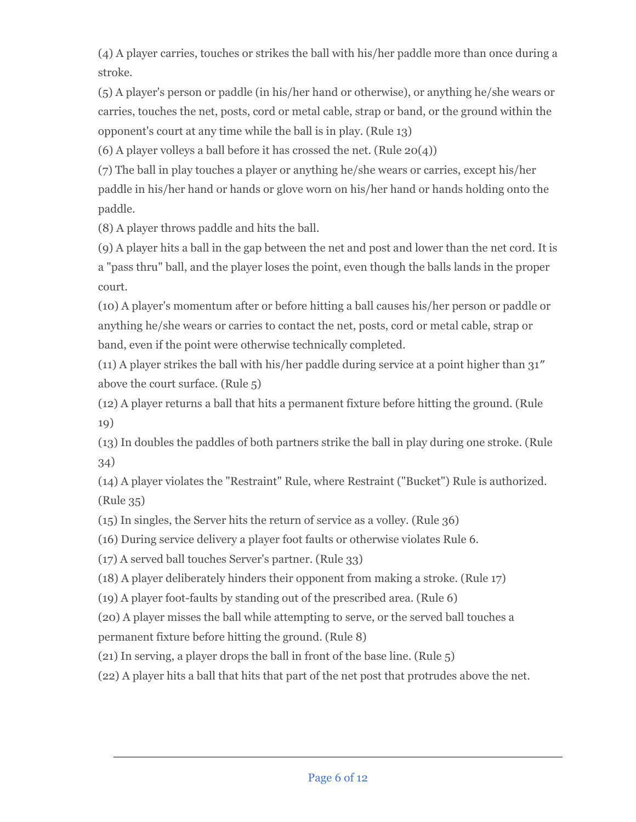(4) A player carries, touches or strikes the ball with his/her paddle more than once during a stroke.

(5) A player's person or paddle (in his/her hand or otherwise), or anything he/she wears or carries, touches the net, posts, cord or metal cable, strap or band, or the ground within the opponent's court at any time while the ball is in play. (Rule 13)

(6) A player volleys a ball before it has crossed the net. (Rule  $20(4)$ )

(7) The ball in play touches a player or anything he/she wears or carries, except his/her paddle in his/her hand or hands or glove worn on his/her hand or hands holding onto the paddle.

(8) A player throws paddle and hits the ball.

(9) A player hits a ball in the gap between the net and post and lower than the net cord. It is a "pass thru" ball, and the player loses the point, even though the balls lands in the proper court.

(10) A player's momentum after or before hitting a ball causes his/her person or paddle or anything he/she wears or carries to contact the net, posts, cord or metal cable, strap or band, even if the point were otherwise technically completed.

(11) A player strikes the ball with his/her paddle during service at a point higher than 31″ above the court surface. (Rule 5)

(12) A player returns a ball that hits a permanent fixture before hitting the ground. (Rule 19)

(13) In doubles the paddles of both partners strike the ball in play during one stroke. (Rule 34)

(14) A player violates the "Restraint" Rule, where Restraint ("Bucket") Rule is authorized. (Rule 35)

(15) In singles, the Server hits the return of service as a volley. (Rule 36)

(16) During service delivery a player foot faults or otherwise violates Rule 6.

(17) A served ball touches Server's partner. (Rule 33)

(18) A player deliberately hinders their opponent from making a stroke. (Rule 17)

(19) A player foot-faults by standing out of the prescribed area. (Rule 6)

(20) A player misses the ball while attempting to serve, or the served ball touches a permanent fixture before hitting the ground. (Rule 8)

(21) In serving, a player drops the ball in front of the base line. (Rule 5)

(22) A player hits a ball that hits that part of the net post that protrudes above the net.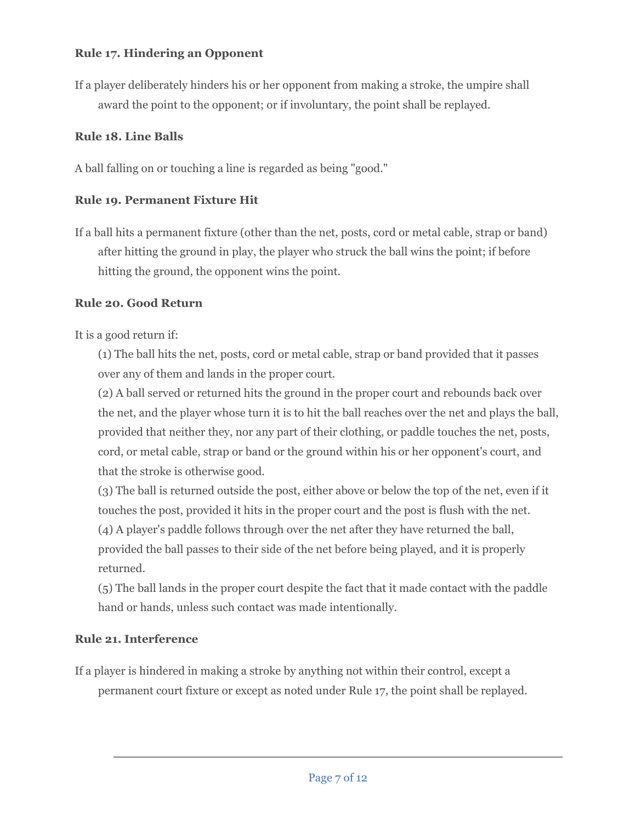# **Rule 17. Hindering an Opponent**

If a player deliberately hinders his or her opponent from making a stroke, the umpire shall award the point to the opponent; or if involuntary, the point shall be replayed.

# **Rule 18. Line Balls**

A ball falling on or touching a line is regarded as being "good."

# **Rule 19. Permanent Fixture Hit**

If a ball hits a permanent fixture (other than the net, posts, cord or metal cable, strap or band) after hitting the ground in play, the player who struck the ball wins the point; if before hitting the ground, the opponent wins the point.

# **Rule 20. Good Return**

It is a good return if:

(1) The ball hits the net, posts, cord or metal cable, strap or band provided that it passes over any of them and lands in the proper court.

(2) A ball served or returned hits the ground in the proper court and rebounds back over the net, and the player whose turn it is to hit the ball reaches over the net and plays the ball, provided that neither they, nor any part of their clothing, or paddle touches the net, posts, cord, or metal cable, strap or band or the ground within his or her opponent's court, and that the stroke is otherwise good.

(3) The ball is returned outside the post, either above or below the top of the net, even if it touches the post, provided it hits in the proper court and the post is flush with the net. (4) A player's paddle follows through over the net after they have returned the ball, provided the ball passes to their side of the net before being played, and it is properly returned.

(5) The ball lands in the proper court despite the fact that it made contact with the paddle hand or hands, unless such contact was made intentionally.

# **Rule 21. Interference**

If a player is hindered in making a stroke by anything not within their control, except a permanent court fixture or except as noted under Rule 17, the point shall be replayed.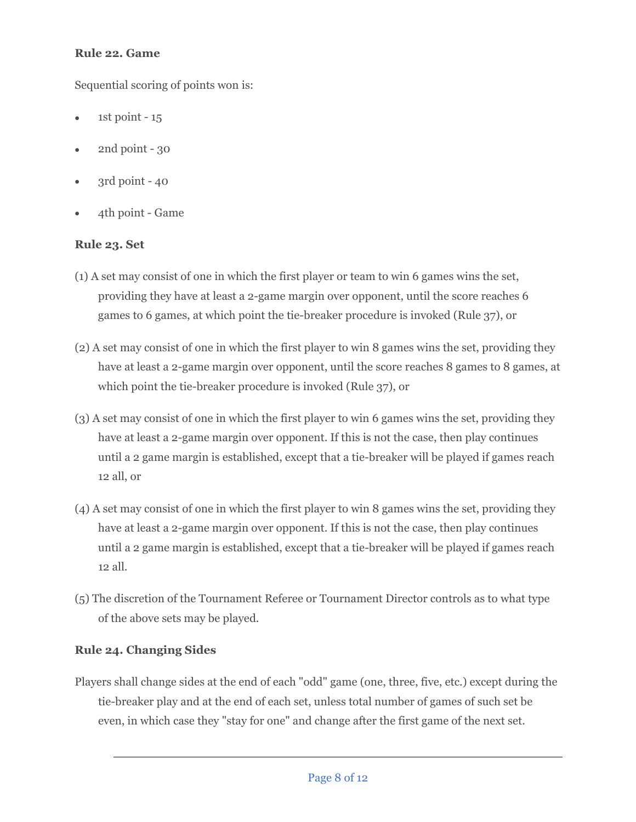# **Rule 22. Game**

Sequential scoring of points won is:

- 1st point  $-15$
- 2nd point 30
- $3rd$  point  $40$
- 4th point Game

# **Rule 23. Set**

- (1) A set may consist of one in which the first player or team to win 6 games wins the set, providing they have at least a 2-game margin over opponent, until the score reaches 6 games to 6 games, at which point the tie-breaker procedure is invoked (Rule 37), or
- (2) A set may consist of one in which the first player to win 8 games wins the set, providing they have at least a 2-game margin over opponent, until the score reaches 8 games to 8 games, at which point the tie-breaker procedure is invoked (Rule 37), or
- (3) A set may consist of one in which the first player to win 6 games wins the set, providing they have at least a 2-game margin over opponent. If this is not the case, then play continues until a 2 game margin is established, except that a tie-breaker will be played if games reach 12 all, or
- (4) A set may consist of one in which the first player to win 8 games wins the set, providing they have at least a 2-game margin over opponent. If this is not the case, then play continues until a 2 game margin is established, except that a tie-breaker will be played if games reach 12 all.
- (5) The discretion of the Tournament Referee or Tournament Director controls as to what type of the above sets may be played.

# **Rule 24. Changing Sides**

Players shall change sides at the end of each "odd" game (one, three, five, etc.) except during the tie-breaker play and at the end of each set, unless total number of games of such set be even, in which case they "stay for one" and change after the first game of the next set.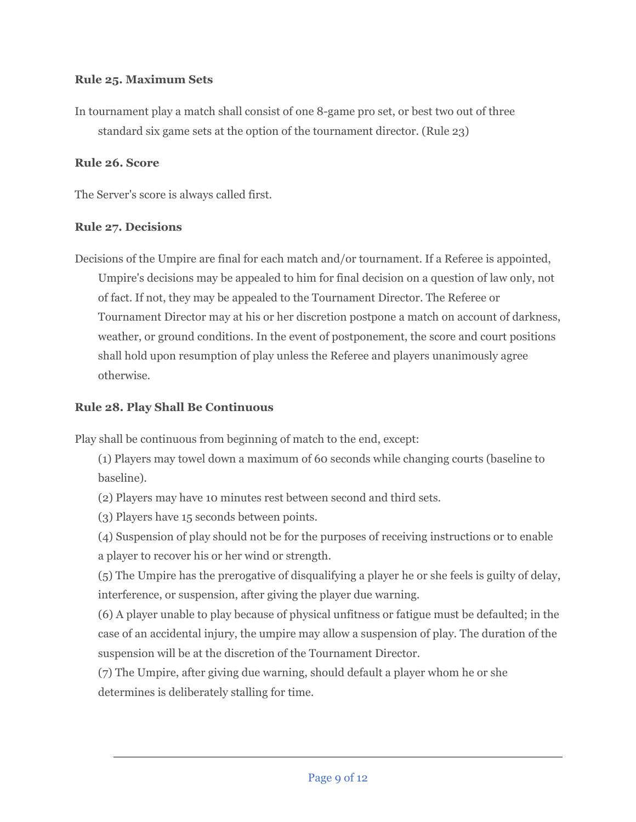# **Rule 25. Maximum Sets**

In tournament play a match shall consist of one 8-game pro set, or best two out of three standard six game sets at the option of the tournament director. (Rule 23)

## **Rule 26. Score**

The Server's score is always called first.

#### **Rule 27. Decisions**

Decisions of the Umpire are final for each match and/or tournament. If a Referee is appointed, Umpire's decisions may be appealed to him for final decision on a question of law only, not of fact. If not, they may be appealed to the Tournament Director. The Referee or Tournament Director may at his or her discretion postpone a match on account of darkness, weather, or ground conditions. In the event of postponement, the score and court positions shall hold upon resumption of play unless the Referee and players unanimously agree otherwise.

## **Rule 28. Play Shall Be Continuous**

Play shall be continuous from beginning of match to the end, except:

(1) Players may towel down a maximum of 60 seconds while changing courts (baseline to baseline).

(2) Players may have 10 minutes rest between second and third sets.

(3) Players have 15 seconds between points.

(4) Suspension of play should not be for the purposes of receiving instructions or to enable a player to recover his or her wind or strength.

(5) The Umpire has the prerogative of disqualifying a player he or she feels is guilty of delay, interference, or suspension, after giving the player due warning.

(6) A player unable to play because of physical unfitness or fatigue must be defaulted; in the case of an accidental injury, the umpire may allow a suspension of play. The duration of the suspension will be at the discretion of the Tournament Director.

(7) The Umpire, after giving due warning, should default a player whom he or she determines is deliberately stalling for time.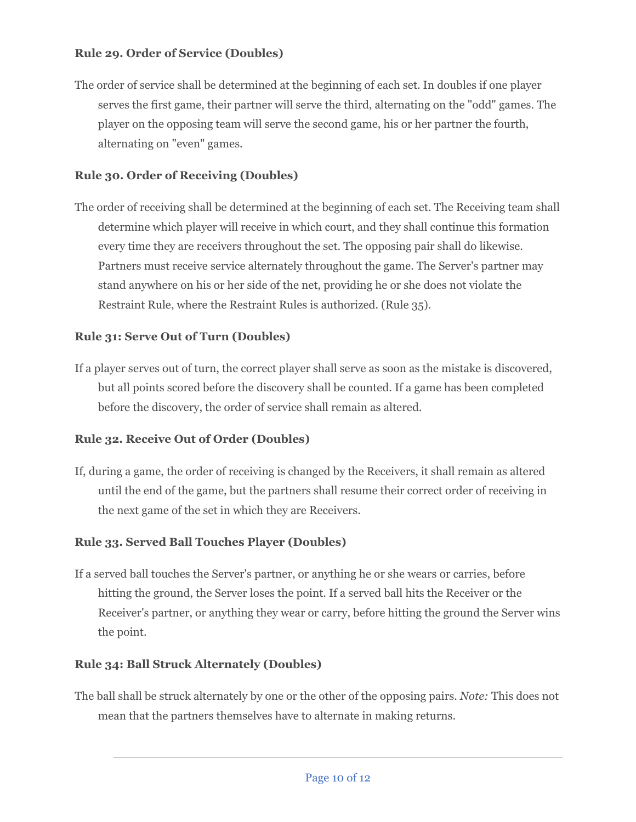# **Rule 29. Order of Service (Doubles)**

The order of service shall be determined at the beginning of each set. In doubles if one player serves the first game, their partner will serve the third, alternating on the "odd" games. The player on the opposing team will serve the second game, his or her partner the fourth, alternating on "even" games.

## **Rule 30. Order of Receiving (Doubles)**

The order of receiving shall be determined at the beginning of each set. The Receiving team shall determine which player will receive in which court, and they shall continue this formation every time they are receivers throughout the set. The opposing pair shall do likewise. Partners must receive service alternately throughout the game. The Server's partner may stand anywhere on his or her side of the net, providing he or she does not violate the Restraint Rule, where the Restraint Rules is authorized. (Rule 35).

# **Rule 31: Serve Out of Turn (Doubles)**

If a player serves out of turn, the correct player shall serve as soon as the mistake is discovered, but all points scored before the discovery shall be counted. If a game has been completed before the discovery, the order of service shall remain as altered.

# **Rule 32. Receive Out of Order (Doubles)**

If, during a game, the order of receiving is changed by the Receivers, it shall remain as altered until the end of the game, but the partners shall resume their correct order of receiving in the next game of the set in which they are Receivers.

#### **Rule 33. Served Ball Touches Player (Doubles)**

If a served ball touches the Server's partner, or anything he or she wears or carries, before hitting the ground, the Server loses the point. If a served ball hits the Receiver or the Receiver's partner, or anything they wear or carry, before hitting the ground the Server wins the point.

#### **Rule 34: Ball Struck Alternately (Doubles)**

The ball shall be struck alternately by one or the other of the opposing pairs. *Note:* This does not mean that the partners themselves have to alternate in making returns.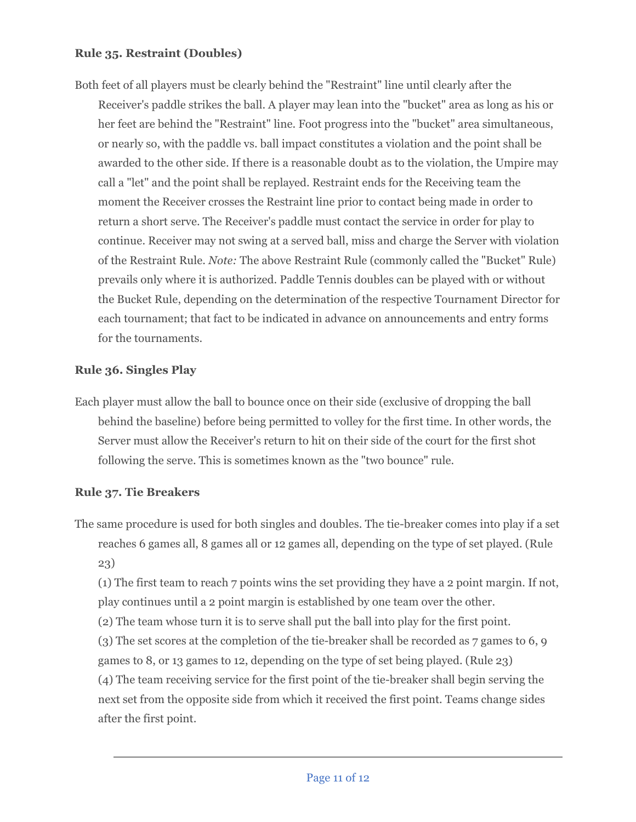## **Rule 35. Restraint (Doubles)**

Both feet of all players must be clearly behind the "Restraint" line until clearly after the Receiver's paddle strikes the ball. A player may lean into the "bucket" area as long as his or her feet are behind the "Restraint" line. Foot progress into the "bucket" area simultaneous, or nearly so, with the paddle vs. ball impact constitutes a violation and the point shall be awarded to the other side. If there is a reasonable doubt as to the violation, the Umpire may call a "let" and the point shall be replayed. Restraint ends for the Receiving team the moment the Receiver crosses the Restraint line prior to contact being made in order to return a short serve. The Receiver's paddle must contact the service in order for play to continue. Receiver may not swing at a served ball, miss and charge the Server with violation of the Restraint Rule. *Note:* The above Restraint Rule (commonly called the "Bucket" Rule) prevails only where it is authorized. Paddle Tennis doubles can be played with or without the Bucket Rule, depending on the determination of the respective Tournament Director for each tournament; that fact to be indicated in advance on announcements and entry forms for the tournaments.

#### **Rule 36. Singles Play**

Each player must allow the ball to bounce once on their side (exclusive of dropping the ball behind the baseline) before being permitted to volley for the first time. In other words, the Server must allow the Receiver's return to hit on their side of the court for the first shot following the serve. This is sometimes known as the "two bounce" rule.

# **Rule 37. Tie Breakers**

The same procedure is used for both singles and doubles. The tie-breaker comes into play if a set reaches 6 games all, 8 games all or 12 games all, depending on the type of set played. (Rule 23)

(1) The first team to reach 7 points wins the set providing they have a 2 point margin. If not, play continues until a 2 point margin is established by one team over the other.

(2) The team whose turn it is to serve shall put the ball into play for the first point.

(3) The set scores at the completion of the tie-breaker shall be recorded as 7 games to 6, 9 games to 8, or 13 games to 12, depending on the type of set being played. (Rule 23) (4) The team receiving service for the first point of the tie-breaker shall begin serving the next set from the opposite side from which it received the first point. Teams change sides after the first point.